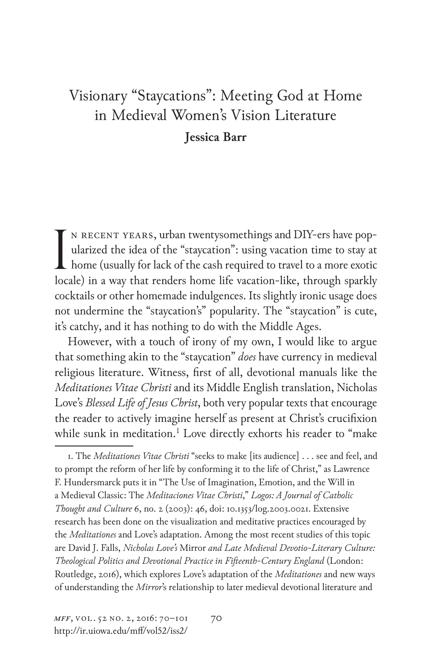## Visionary "Staycations": Meeting God at Home in Medieval Women's Vision Literature **Jessica Barr**

n recent years, urban twentysomethings and DIY-ers have popularized the idea of the "staycation": using vacation time to stay at N RECENT YEARS, urban twentysomethings and DIY-ers have pop-<br>ularized the idea of the "staycation": using vacation time to stay at<br>home (usually for lack of the cash required to travel to a more exotic<br>lack bin more than t locale) in a way that renders home life vacation-like, through sparkly cocktails or other homemade indulgences. Its slightly ironic usage does not undermine the "staycation's" popularity. The "staycation" is cute, it's catchy, and it has nothing to do with the Middle Ages.

However, with a touch of irony of my own, I would like to argue that something akin to the "staycation" *does* have currency in medieval religious literature. Witness, first of all, devotional manuals like the *Meditationes Vitae Christi* and its Middle English translation, Nicholas Love's *Blessed Life of Jesus Christ*, both very popular texts that encourage the reader to actively imagine herself as present at Christ's crucifixion while sunk in meditation.<sup>1</sup> Love directly exhorts his reader to "make

1. The *Meditationes Vitae Christi* "seeks to make [its audience] . . . see and feel, and to prompt the reform of her life by conforming it to the life of Christ," as Lawrence F. Hundersmarck puts it in "The Use of Imagination, Emotion, and the Will in a Medieval Classic: The *Meditaciones Vitae Christi*," *Logos: A Journal of Catholic Thought and Culture* 6, no. 2 (2003): 46, doi: 10.1353/log.2003.0021. Extensive research has been done on the visualization and meditative practices encouraged by the *Meditationes* and Love's adaptation. Among the most recent studies of this topic are David J. Falls, *Nicholas Love's* Mirror *and Late Medieval Devotio-Literary Culture: Theological Politics and Devotional Practice in Fifteenth-Century England* (London: Routledge, 2016), which explores Love's adaptation of the *Meditationes* and new ways of understanding the *Mirror*'s relationship to later medieval devotional literature and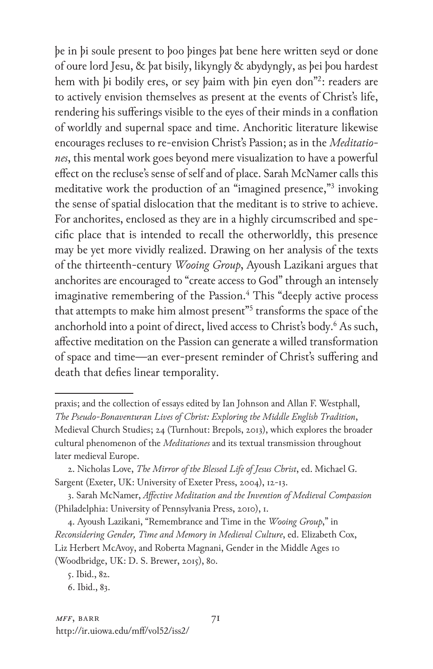þe in þi soule present to þoo þinges þat bene here written seyd or done of oure lord Jesu, & þat bisily, likyngly & abydyngly, as þei þou hardest hem with þi bodily eres, or sey þaim with þin eyen don"2 : readers are to actively envision themselves as present at the events of Christ's life, rendering his sufferings visible to the eyes of their minds in a conflation of worldly and supernal space and time. Anchoritic literature likewise encourages recluses to re-envision Christ's Passion; as in the *Meditationes*, this mental work goes beyond mere visualization to have a powerful effect on the recluse's sense of self and of place. Sarah McNamer calls this meditative work the production of an "imagined presence,"3 invoking the sense of spatial dislocation that the meditant is to strive to achieve. For anchorites, enclosed as they are in a highly circumscribed and specific place that is intended to recall the otherworldly, this presence may be yet more vividly realized. Drawing on her analysis of the texts of the thirteenth-century *Wooing Group*, Ayoush Lazikani argues that anchorites are encouraged to "create access to God" through an intensely imaginative remembering of the Passion.<sup>4</sup> This "deeply active process that attempts to make him almost present"<sup>5</sup> transforms the space of the anchorhold into a point of direct, lived access to Christ's body.6 As such, affective meditation on the Passion can generate a willed transformation of space and time—an ever-present reminder of Christ's suffering and death that defies linear temporality.

4. Ayoush Lazikani, "Remembrance and Time in the *Wooing Group*," in *Reconsidering Gender, Time and Memory in Medieval Culture*, ed. Elizabeth Cox, Liz Herbert McAvoy, and Roberta Magnani, Gender in the Middle Ages 10 (Woodbridge, UK: D. S. Brewer, 2015), 80.

praxis; and the collection of essays edited by Ian Johnson and Allan F. Westphall, *The Pseudo-Bonaventuran Lives of Christ: Exploring the Middle English Tradition*, Medieval Church Studies; 24 (Turnhout: Brepols, 2013), which explores the broader cultural phenomenon of the *Meditationes* and its textual transmission throughout later medieval Europe.

<sup>2.</sup> Nicholas Love, *The Mirror of the Blessed Life of Jesus Christ*, ed. Michael G. Sargent (Exeter, UK: University of Exeter Press, 2004), 12-13.

<sup>3.</sup> Sarah McNamer, *Affective Meditation and the Invention of Medieval Compassion* (Philadelphia: University of Pennsylvania Press, 2010), 1.

<sup>5.</sup> Ibid., 82.

<sup>6.</sup> Ibid., 83.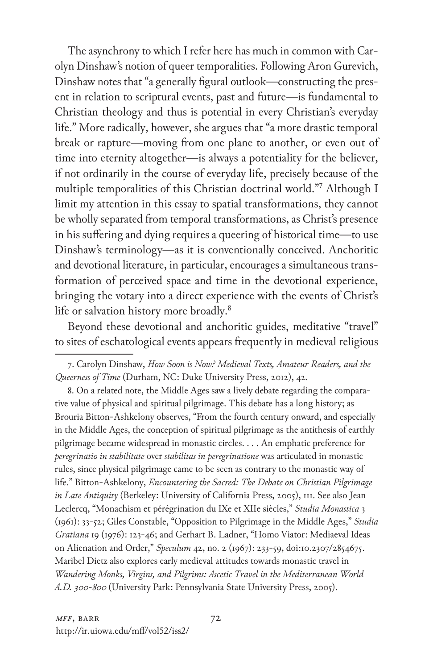The asynchrony to which I refer here has much in common with Carolyn Dinshaw's notion of queer temporalities. Following Aron Gurevich, Dinshaw notes that "a generally figural outlook—constructing the present in relation to scriptural events, past and future—is fundamental to Christian theology and thus is potential in every Christian's everyday life." More radically, however, she argues that "a more drastic temporal break or rapture—moving from one plane to another, or even out of time into eternity altogether—is always a potentiality for the believer, if not ordinarily in the course of everyday life, precisely because of the multiple temporalities of this Christian doctrinal world."7 Although I limit my attention in this essay to spatial transformations, they cannot be wholly separated from temporal transformations, as Christ's presence in his suffering and dying requires a queering of historical time—to use Dinshaw's terminology—as it is conventionally conceived. Anchoritic and devotional literature, in particular, encourages a simultaneous transformation of perceived space and time in the devotional experience, bringing the votary into a direct experience with the events of Christ's life or salvation history more broadly.<sup>8</sup>

Beyond these devotional and anchoritic guides, meditative "travel" to sites of eschatological events appears frequently in medieval religious

8. On a related note, the Middle Ages saw a lively debate regarding the comparative value of physical and spiritual pilgrimage. This debate has a long history; as Brouria Bitton-Ashkelony observes, "From the fourth century onward, and especially in the Middle Ages, the conception of spiritual pilgrimage as the antithesis of earthly pilgrimage became widespread in monastic circles. . . . An emphatic preference for *peregrinatio in stabilitate* over *stabilitas in peregrinatione* was articulated in monastic rules, since physical pilgrimage came to be seen as contrary to the monastic way of life." Bitton-Ashkelony, *Encountering the Sacred: The Debate on Christian Pilgrimage in Late Antiquity* (Berkeley: University of California Press, 2005), 111. See also Jean Leclercq, "Monachism et pérégrination du IXe et XIIe siècles," *Studia Monastica* 3 (1961): 33-52; Giles Constable, "Opposition to Pilgrimage in the Middle Ages," *Studia Gratiana* 19 (1976): 123-46; and Gerhart B. Ladner, "Homo Viator: Mediaeval Ideas on Alienation and Order," *Speculum* 42, no. 2 (1967): 233-59, doi:10.2307/2854675. Maribel Dietz also explores early medieval attitudes towards monastic travel in *Wandering Monks, Virgins, and Pilgrims: Ascetic Travel in the Mediterranean World A.D. 300-800* (University Park: Pennsylvania State University Press, 2005).

<sup>7.</sup> Carolyn Dinshaw, *How Soon is Now? Medieval Texts, Amateur Readers, and the Queerness of Time* (Durham, NC: Duke University Press, 2012), 42.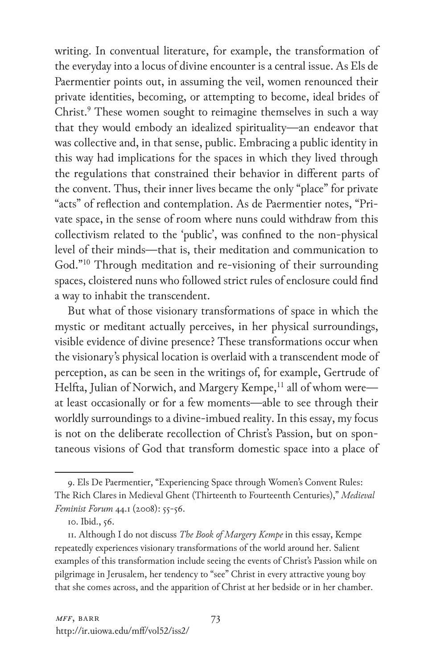writing. In conventual literature, for example, the transformation of the everyday into a locus of divine encounter is a central issue. As Els de Paermentier points out, in assuming the veil, women renounced their private identities, becoming, or attempting to become, ideal brides of Christ.<sup>9</sup> These women sought to reimagine themselves in such a way that they would embody an idealized spirituality—an endeavor that was collective and, in that sense, public. Embracing a public identity in this way had implications for the spaces in which they lived through the regulations that constrained their behavior in different parts of the convent. Thus, their inner lives became the only "place" for private "acts" of reflection and contemplation. As de Paermentier notes, "Private space, in the sense of room where nuns could withdraw from this collectivism related to the 'public', was confined to the non-physical level of their minds—that is, their meditation and communication to God."10 Through meditation and re-visioning of their surrounding spaces, cloistered nuns who followed strict rules of enclosure could find a way to inhabit the transcendent.

But what of those visionary transformations of space in which the mystic or meditant actually perceives, in her physical surroundings, visible evidence of divine presence? These transformations occur when the visionary's physical location is overlaid with a transcendent mode of perception, as can be seen in the writings of, for example, Gertrude of Helfta, Julian of Norwich, and Margery Kempe,<sup>11</sup> all of whom were at least occasionally or for a few moments—able to see through their worldly surroundings to a divine-imbued reality. In this essay, my focus is not on the deliberate recollection of Christ's Passion, but on spontaneous visions of God that transform domestic space into a place of

<sup>9.</sup> Els De Paermentier, "Experiencing Space through Women's Convent Rules: The Rich Clares in Medieval Ghent (Thirteenth to Fourteenth Centuries)," *Medieval Feminist Forum* 44.1 (2008): 55-56.

<sup>10.</sup> Ibid., 56.

<sup>11.</sup> Although I do not discuss *The Book of Margery Kempe* in this essay, Kempe repeatedly experiences visionary transformations of the world around her. Salient examples of this transformation include seeing the events of Christ's Passion while on pilgrimage in Jerusalem, her tendency to "see" Christ in every attractive young boy that she comes across, and the apparition of Christ at her bedside or in her chamber.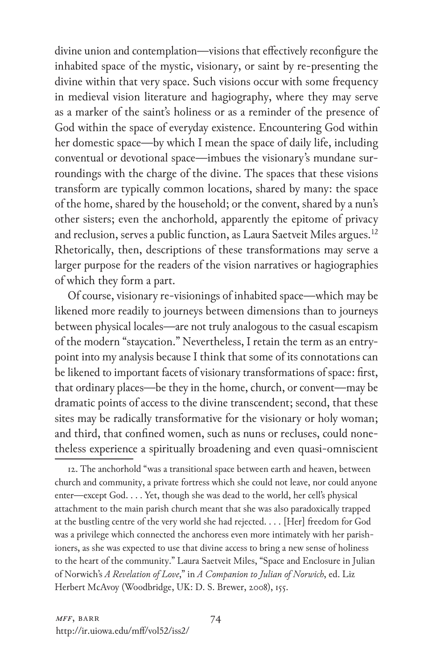divine union and contemplation—visions that effectively reconfigure the inhabited space of the mystic, visionary, or saint by re-presenting the divine within that very space. Such visions occur with some frequency in medieval vision literature and hagiography, where they may serve as a marker of the saint's holiness or as a reminder of the presence of God within the space of everyday existence. Encountering God within her domestic space—by which I mean the space of daily life, including conventual or devotional space—imbues the visionary's mundane surroundings with the charge of the divine. The spaces that these visions transform are typically common locations, shared by many: the space of the home, shared by the household; or the convent, shared by a nun's other sisters; even the anchorhold, apparently the epitome of privacy and reclusion, serves a public function, as Laura Saetveit Miles argues.<sup>12</sup> Rhetorically, then, descriptions of these transformations may serve a larger purpose for the readers of the vision narratives or hagiographies of which they form a part.

Of course, visionary re-visionings of inhabited space—which may be likened more readily to journeys between dimensions than to journeys between physical locales—are not truly analogous to the casual escapism of the modern "staycation." Nevertheless, I retain the term as an entrypoint into my analysis because I think that some of its connotations can be likened to important facets of visionary transformations of space: first, that ordinary places—be they in the home, church, or convent—may be dramatic points of access to the divine transcendent; second, that these sites may be radically transformative for the visionary or holy woman; and third, that confined women, such as nuns or recluses, could nonetheless experience a spiritually broadening and even quasi-omniscient

12. The anchorhold "was a transitional space between earth and heaven, between church and community, a private fortress which she could not leave, nor could anyone enter—except God. . . . Yet, though she was dead to the world, her cell's physical attachment to the main parish church meant that she was also paradoxically trapped at the bustling centre of the very world she had rejected. . . . [Her] freedom for God was a privilege which connected the anchoress even more intimately with her parishioners, as she was expected to use that divine access to bring a new sense of holiness to the heart of the community." Laura Saetveit Miles, "Space and Enclosure in Julian of Norwich's *A Revelation of Love*," in *A Companion to Julian of Norwich*, ed. Liz Herbert McAvoy (Woodbridge, UK: D. S. Brewer, 2008), 155.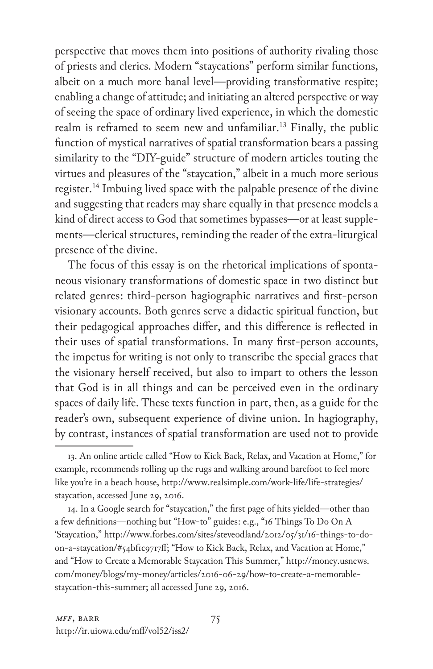perspective that moves them into positions of authority rivaling those of priests and clerics. Modern "staycations" perform similar functions, albeit on a much more banal level—providing transformative respite; enabling a change of attitude; and initiating an altered perspective or way of seeing the space of ordinary lived experience, in which the domestic realm is reframed to seem new and unfamiliar.<sup>13</sup> Finally, the public function of mystical narratives of spatial transformation bears a passing similarity to the "DIY-guide" structure of modern articles touting the virtues and pleasures of the "staycation," albeit in a much more serious register.<sup>14</sup> Imbuing lived space with the palpable presence of the divine and suggesting that readers may share equally in that presence models a kind of direct access to God that sometimes bypasses—or at least supplements—clerical structures, reminding the reader of the extra-liturgical presence of the divine.

The focus of this essay is on the rhetorical implications of spontaneous visionary transformations of domestic space in two distinct but related genres: third-person hagiographic narratives and first-person visionary accounts. Both genres serve a didactic spiritual function, but their pedagogical approaches differ, and this difference is reflected in their uses of spatial transformations. In many first-person accounts, the impetus for writing is not only to transcribe the special graces that the visionary herself received, but also to impart to others the lesson that God is in all things and can be perceived even in the ordinary spaces of daily life. These texts function in part, then, as a guide for the reader's own, subsequent experience of divine union. In hagiography, by contrast, instances of spatial transformation are used not to provide

14. In a Google search for "staycation," the first page of hits yielded—other than a few definitions—nothing but "How-to" guides: e.g., "16 Things To Do On A 'Staycation," http://www.forbes.com/sites/steveodland/2012/05/31/16-things-to-doon-a-staycation/#54bf1c9717ff; "How to Kick Back, Relax, and Vacation at Home," and "How to Create a Memorable Staycation This Summer," http://money.usnews. com/money/blogs/my-money/articles/2016-06-29/how-to-create-a-memorablestaycation-this-summer; all accessed June 29, 2016.

<sup>13.</sup> An online article called "How to Kick Back, Relax, and Vacation at Home," for example, recommends rolling up the rugs and walking around barefoot to feel more like you're in a beach house, http://www.realsimple.com/work-life/life-strategies/ staycation, accessed June 29, 2016.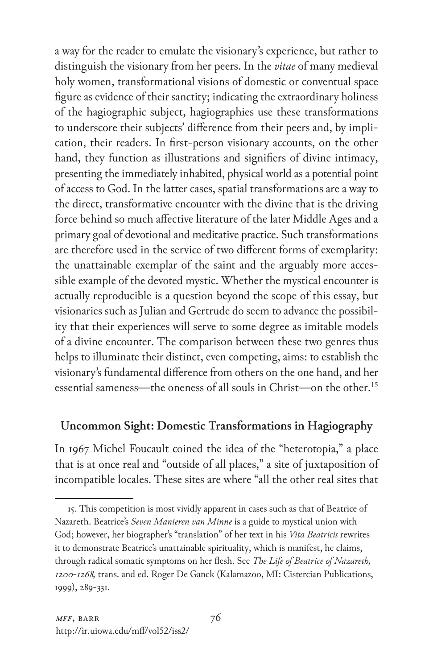a way for the reader to emulate the visionary's experience, but rather to distinguish the visionary from her peers. In the *vitae* of many medieval holy women, transformational visions of domestic or conventual space figure as evidence of their sanctity; indicating the extraordinary holiness of the hagiographic subject, hagiographies use these transformations to underscore their subjects' difference from their peers and, by implication, their readers. In first-person visionary accounts, on the other hand, they function as illustrations and signifiers of divine intimacy, presenting the immediately inhabited, physical world as a potential point of access to God. In the latter cases, spatial transformations are a way to the direct, transformative encounter with the divine that is the driving force behind so much affective literature of the later Middle Ages and a primary goal of devotional and meditative practice. Such transformations are therefore used in the service of two different forms of exemplarity: the unattainable exemplar of the saint and the arguably more accessible example of the devoted mystic. Whether the mystical encounter is actually reproducible is a question beyond the scope of this essay, but visionaries such as Julian and Gertrude do seem to advance the possibility that their experiences will serve to some degree as imitable models of a divine encounter. The comparison between these two genres thus helps to illuminate their distinct, even competing, aims: to establish the visionary's fundamental difference from others on the one hand, and her essential sameness—the oneness of all souls in Christ—on the other.<sup>15</sup>

## **Uncommon Sight: Domestic Transformations in Hagiography**

In 1967 Michel Foucault coined the idea of the "heterotopia," a place that is at once real and "outside of all places," a site of juxtaposition of incompatible locales. These sites are where "all the other real sites that

<sup>15.</sup> This competition is most vividly apparent in cases such as that of Beatrice of Nazareth. Beatrice's *Seven Manieren van Minne* is a guide to mystical union with God; however, her biographer's "translation" of her text in his *Vita Beatricis* rewrites it to demonstrate Beatrice's unattainable spirituality, which is manifest, he claims, through radical somatic symptoms on her flesh. See *The Life of Beatrice of Nazareth, 1200-1268,* trans. and ed. Roger De Ganck (Kalamazoo, MI: Cistercian Publications, 1999), 289-331.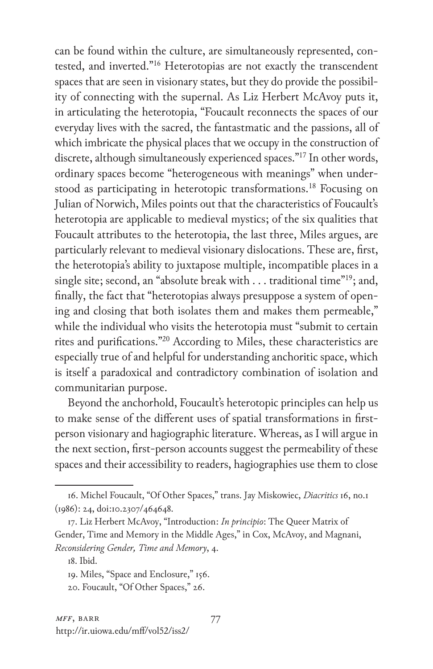can be found within the culture, are simultaneously represented, contested, and inverted."16 Heterotopias are not exactly the transcendent spaces that are seen in visionary states, but they do provide the possibility of connecting with the supernal. As Liz Herbert McAvoy puts it, in articulating the heterotopia, "Foucault reconnects the spaces of our everyday lives with the sacred, the fantastmatic and the passions, all of which imbricate the physical places that we occupy in the construction of discrete, although simultaneously experienced spaces."17 In other words, ordinary spaces become "heterogeneous with meanings" when understood as participating in heterotopic transformations.<sup>18</sup> Focusing on Julian of Norwich, Miles points out that the characteristics of Foucault's heterotopia are applicable to medieval mystics; of the six qualities that Foucault attributes to the heterotopia, the last three, Miles argues, are particularly relevant to medieval visionary dislocations. These are, first, the heterotopia's ability to juxtapose multiple, incompatible places in a single site; second, an "absolute break with . . . traditional time"19; and, finally, the fact that "heterotopias always presuppose a system of opening and closing that both isolates them and makes them permeable," while the individual who visits the heterotopia must "submit to certain rites and purifications."20 According to Miles, these characteristics are especially true of and helpful for understanding anchoritic space, which is itself a paradoxical and contradictory combination of isolation and communitarian purpose.

Beyond the anchorhold, Foucault's heterotopic principles can help us to make sense of the different uses of spatial transformations in firstperson visionary and hagiographic literature. Whereas, as I will argue in the next section, first-person accounts suggest the permeability of these spaces and their accessibility to readers, hagiographies use them to close

<sup>16.</sup> Michel Foucault, "Of Other Spaces," trans. Jay Miskowiec, *Diacritics* 16, no.1 (1986): 24, doi:10.2307/464648.

<sup>17.</sup> Liz Herbert McAvoy, "Introduction: *In principio*: The Queer Matrix of Gender, Time and Memory in the Middle Ages," in Cox, McAvoy, and Magnani, *Reconsidering Gender, Time and Memory*, 4.

<sup>18.</sup> Ibid.

<sup>19.</sup> Miles, "Space and Enclosure," 156.

<sup>20.</sup> Foucault, "Of Other Spaces," 26.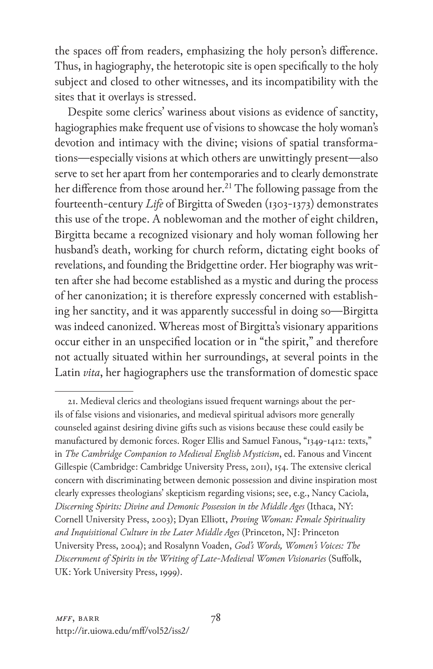the spaces off from readers, emphasizing the holy person's difference. Thus, in hagiography, the heterotopic site is open specifically to the holy subject and closed to other witnesses, and its incompatibility with the sites that it overlays is stressed.

Despite some clerics' wariness about visions as evidence of sanctity, hagiographies make frequent use of visions to showcase the holy woman's devotion and intimacy with the divine; visions of spatial transformations—especially visions at which others are unwittingly present—also serve to set her apart from her contemporaries and to clearly demonstrate her difference from those around her.<sup>21</sup> The following passage from the fourteenth-century *Life* of Birgitta of Sweden (1303-1373) demonstrates this use of the trope. A noblewoman and the mother of eight children, Birgitta became a recognized visionary and holy woman following her husband's death, working for church reform, dictating eight books of revelations, and founding the Bridgettine order. Her biography was written after she had become established as a mystic and during the process of her canonization; it is therefore expressly concerned with establishing her sanctity, and it was apparently successful in doing so—Birgitta was indeed canonized. Whereas most of Birgitta's visionary apparitions occur either in an unspecified location or in "the spirit," and therefore not actually situated within her surroundings, at several points in the Latin *vita*, her hagiographers use the transformation of domestic space

<sup>21.</sup> Medieval clerics and theologians issued frequent warnings about the perils of false visions and visionaries, and medieval spiritual advisors more generally counseled against desiring divine gifts such as visions because these could easily be manufactured by demonic forces. Roger Ellis and Samuel Fanous, "1349-1412: texts," in *The Cambridge Companion to Medieval English Mysticism*, ed. Fanous and Vincent Gillespie (Cambridge: Cambridge University Press, 2011), 154. The extensive clerical concern with discriminating between demonic possession and divine inspiration most clearly expresses theologians' skepticism regarding visions; see, e.g., Nancy Caciola, *Discerning Spirits: Divine and Demonic Possession in the Middle Ages* (Ithaca, NY: Cornell University Press, 2003); Dyan Elliott, *Proving Woman: Female Spirituality and Inquisitional Culture in the Later Middle Ages* (Princeton, NJ: Princeton University Press, 2004); and Rosalynn Voaden, *God's Words, Women's Voices: The Discernment of Spirits in the Writing of Late-Medieval Women Visionaries* (Suffolk, UK: York University Press, 1999).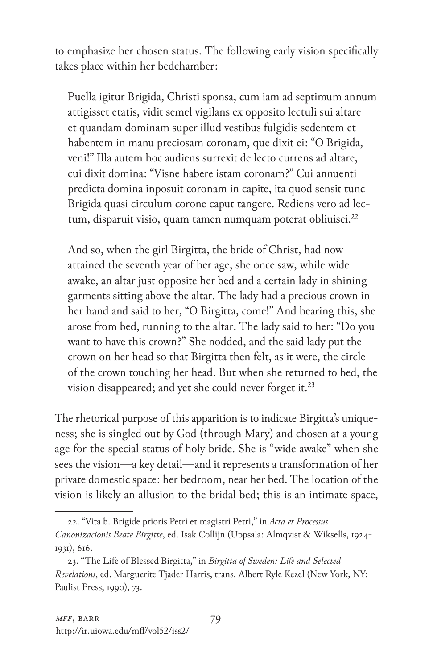to emphasize her chosen status. The following early vision specifically takes place within her bedchamber:

Puella igitur Brigida, Christi sponsa, cum iam ad septimum annum attigisset etatis, vidit semel vigilans ex opposito lectuli sui altare et quandam dominam super illud vestibus fulgidis sedentem et habentem in manu preciosam coronam, que dixit ei: "O Brigida, veni!" Illa autem hoc audiens surrexit de lecto currens ad altare, cui dixit domina: "Visne habere istam coronam?" Cui annuenti predicta domina inposuit coronam in capite, ita quod sensit tunc Brigida quasi circulum corone caput tangere. Rediens vero ad lectum, disparuit visio, quam tamen numquam poterat obliuisci.<sup>22</sup>

And so, when the girl Birgitta, the bride of Christ, had now attained the seventh year of her age, she once saw, while wide awake, an altar just opposite her bed and a certain lady in shining garments sitting above the altar. The lady had a precious crown in her hand and said to her, "O Birgitta, come!" And hearing this, she arose from bed, running to the altar. The lady said to her: "Do you want to have this crown?" She nodded, and the said lady put the crown on her head so that Birgitta then felt, as it were, the circle of the crown touching her head. But when she returned to bed, the vision disappeared; and yet she could never forget it.<sup>23</sup>

The rhetorical purpose of this apparition is to indicate Birgitta's uniqueness; she is singled out by God (through Mary) and chosen at a young age for the special status of holy bride. She is "wide awake" when she sees the vision—a key detail—and it represents a transformation of her private domestic space: her bedroom, near her bed. The location of the vision is likely an allusion to the bridal bed; this is an intimate space,

<sup>22. &</sup>quot;Vita b. Brigide prioris Petri et magistri Petri," in *Acta et Processus Canonizacionis Beate Birgitte*, ed. Isak Collijn (Uppsala: Almqvist & Wiksells, 1924- 1931), 616.

<sup>23. &</sup>quot;The Life of Blessed Birgitta," in *Birgitta of Sweden: Life and Selected Revelations*, ed. Marguerite Tjader Harris, trans. Albert Ryle Kezel (New York, NY: Paulist Press, 1990), 73.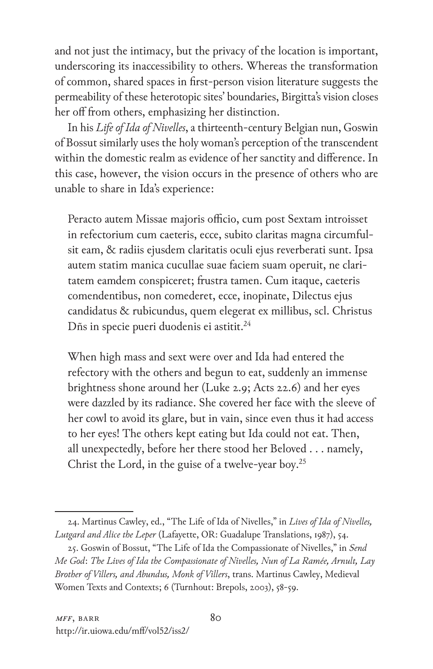and not just the intimacy, but the privacy of the location is important, underscoring its inaccessibility to others. Whereas the transformation of common, shared spaces in first-person vision literature suggests the permeability of these heterotopic sites' boundaries, Birgitta's vision closes her off from others, emphasizing her distinction.

In his *Life of Ida of Nivelles*, a thirteenth-century Belgian nun, Goswin of Bossut similarly uses the holy woman's perception of the transcendent within the domestic realm as evidence of her sanctity and difference. In this case, however, the vision occurs in the presence of others who are unable to share in Ida's experience:

Peracto autem Missae majoris officio, cum post Sextam introisset in refectorium cum caeteris, ecce, subito claritas magna circumfulsit eam, & radiis ejusdem claritatis oculi ejus reverberati sunt. Ipsa autem statim manica cucullae suae faciem suam operuit, ne claritatem eamdem conspiceret; frustra tamen. Cum itaque, caeteris comendentibus, non comederet, ecce, inopinate, Dilectus ejus candidatus & rubicundus, quem elegerat ex millibus, scl. Christus Dñs in specie pueri duodenis ei astitit.<sup>24</sup>

When high mass and sext were over and Ida had entered the refectory with the others and begun to eat, suddenly an immense brightness shone around her (Luke 2.9; Acts 22.6) and her eyes were dazzled by its radiance. She covered her face with the sleeve of her cowl to avoid its glare, but in vain, since even thus it had access to her eyes! The others kept eating but Ida could not eat. Then, all unexpectedly, before her there stood her Beloved . . . namely, Christ the Lord, in the guise of a twelve-year boy.25

<sup>24.</sup> Martinus Cawley, ed., "The Life of Ida of Nivelles," in *Lives of Ida of Nivelles, Lutgard and Alice the Leper* (Lafayette, OR: Guadalupe Translations, 1987), 54.

<sup>25.</sup> Goswin of Bossut, "The Life of Ida the Compassionate of Nivelles," in *Send Me God*: *The Lives of Ida the Compassionate of Nivelles, Nun of La Ramée, Arnult, Lay Brother of Villers, and Abundus, Monk of Villers*, trans. Martinus Cawley, Medieval Women Texts and Contexts; 6 (Turnhout: Brepols, 2003), 58-59.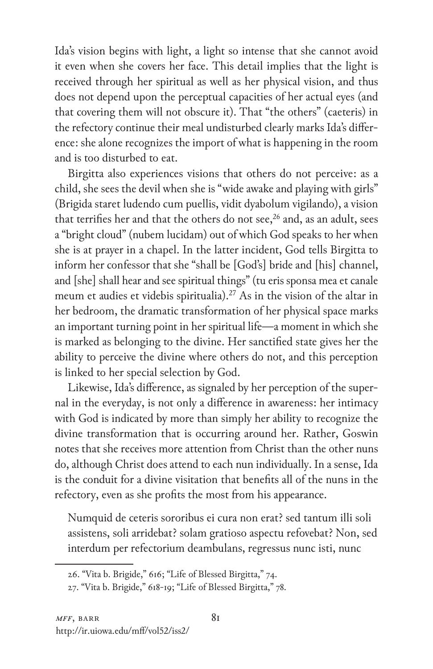Ida's vision begins with light, a light so intense that she cannot avoid it even when she covers her face. This detail implies that the light is received through her spiritual as well as her physical vision, and thus does not depend upon the perceptual capacities of her actual eyes (and that covering them will not obscure it). That "the others" (caeteris) in the refectory continue their meal undisturbed clearly marks Ida's difference: she alone recognizes the import of what is happening in the room and is too disturbed to eat.

Birgitta also experiences visions that others do not perceive: as a child, she sees the devil when she is "wide awake and playing with girls" (Brigida staret ludendo cum puellis, vidit dyabolum vigilando), a vision that terrifies her and that the others do not see,<sup>26</sup> and, as an adult, sees a "bright cloud" (nubem lucidam) out of which God speaks to her when she is at prayer in a chapel. In the latter incident, God tells Birgitta to inform her confessor that she "shall be [God's] bride and [his] channel, and [she] shall hear and see spiritual things" (tu eris sponsa mea et canale meum et audies et videbis spiritualia).<sup>27</sup> As in the vision of the altar in her bedroom, the dramatic transformation of her physical space marks an important turning point in her spiritual life—a moment in which she is marked as belonging to the divine. Her sanctified state gives her the ability to perceive the divine where others do not, and this perception is linked to her special selection by God.

Likewise, Ida's difference, as signaled by her perception of the supernal in the everyday, is not only a difference in awareness: her intimacy with God is indicated by more than simply her ability to recognize the divine transformation that is occurring around her. Rather, Goswin notes that she receives more attention from Christ than the other nuns do, although Christ does attend to each nun individually. In a sense, Ida is the conduit for a divine visitation that benefits all of the nuns in the refectory, even as she profits the most from his appearance.

Numquid de ceteris sororibus ei cura non erat? sed tantum illi soli assistens, soli arridebat? solam gratioso aspectu refovebat? Non, sed interdum per refectorium deambulans, regressus nunc isti, nunc

<sup>26. &</sup>quot;Vita b. Brigide," 616; "Life of Blessed Birgitta," 74.

<sup>27. &</sup>quot;Vita b. Brigide," 618-19; "Life of Blessed Birgitta," 78.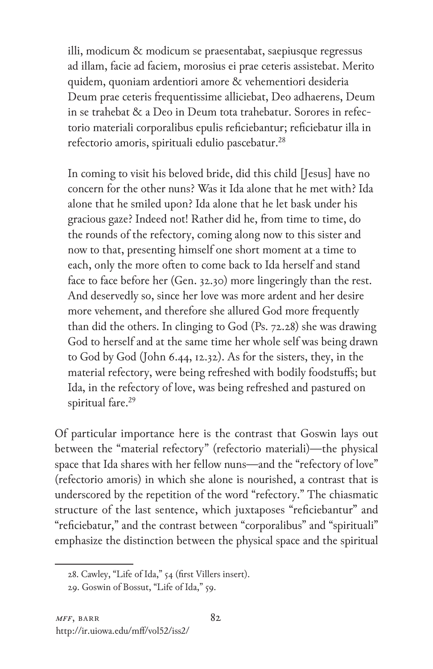illi, modicum & modicum se praesentabat, saepiusque regressus ad illam, facie ad faciem, morosius ei prae ceteris assistebat. Merito quidem, quoniam ardentiori amore & vehementiori desideria Deum prae ceteris frequentissime alliciebat, Deo adhaerens, Deum in se trahebat & a Deo in Deum tota trahebatur. Sorores in refectorio materiali corporalibus epulis reficiebantur; reficiebatur illa in refectorio amoris, spirituali edulio pascebatur.28

In coming to visit his beloved bride, did this child [Jesus] have no concern for the other nuns? Was it Ida alone that he met with? Ida alone that he smiled upon? Ida alone that he let bask under his gracious gaze? Indeed not! Rather did he, from time to time, do the rounds of the refectory, coming along now to this sister and now to that, presenting himself one short moment at a time to each, only the more often to come back to Ida herself and stand face to face before her (Gen. 32.30) more lingeringly than the rest. And deservedly so, since her love was more ardent and her desire more vehement, and therefore she allured God more frequently than did the others. In clinging to God (Ps. 72.28) she was drawing God to herself and at the same time her whole self was being drawn to God by God (John 6.44, 12.32). As for the sisters, they, in the material refectory, were being refreshed with bodily foodstuffs; but Ida, in the refectory of love, was being refreshed and pastured on spiritual fare.<sup>29</sup>

Of particular importance here is the contrast that Goswin lays out between the "material refectory" (refectorio materiali)—the physical space that Ida shares with her fellow nuns—and the "refectory of love" (refectorio amoris) in which she alone is nourished, a contrast that is underscored by the repetition of the word "refectory." The chiasmatic structure of the last sentence, which juxtaposes "reficiebantur" and "reficiebatur," and the contrast between "corporalibus" and "spirituali" emphasize the distinction between the physical space and the spiritual

<sup>28.</sup> Cawley, "Life of Ida," 54 (first Villers insert).

<sup>29.</sup> Goswin of Bossut, "Life of Ida," 59.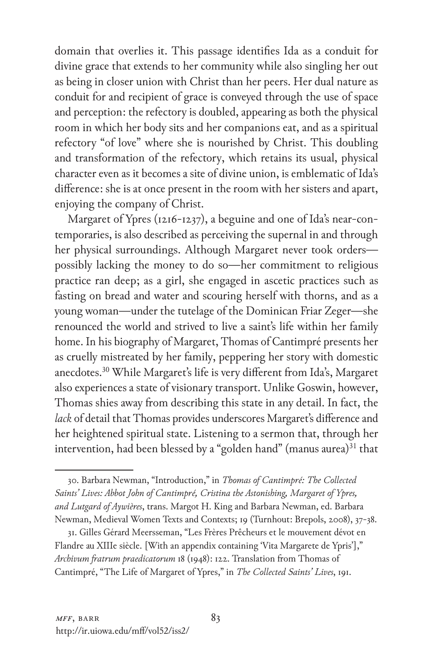domain that overlies it. This passage identifies Ida as a conduit for divine grace that extends to her community while also singling her out as being in closer union with Christ than her peers. Her dual nature as conduit for and recipient of grace is conveyed through the use of space and perception: the refectory is doubled, appearing as both the physical room in which her body sits and her companions eat, and as a spiritual refectory "of love" where she is nourished by Christ. This doubling and transformation of the refectory, which retains its usual, physical character even as it becomes a site of divine union, is emblematic of Ida's difference: she is at once present in the room with her sisters and apart, enjoying the company of Christ.

Margaret of Ypres (1216-1237), a beguine and one of Ida's near-contemporaries, is also described as perceiving the supernal in and through her physical surroundings. Although Margaret never took orders possibly lacking the money to do so—her commitment to religious practice ran deep; as a girl, she engaged in ascetic practices such as fasting on bread and water and scouring herself with thorns, and as a young woman—under the tutelage of the Dominican Friar Zeger—she renounced the world and strived to live a saint's life within her family home. In his biography of Margaret, Thomas of Cantimpré presents her as cruelly mistreated by her family, peppering her story with domestic anecdotes.30 While Margaret's life is very different from Ida's, Margaret also experiences a state of visionary transport. Unlike Goswin, however, Thomas shies away from describing this state in any detail. In fact, the *lack* of detail that Thomas provides underscores Margaret's difference and her heightened spiritual state. Listening to a sermon that, through her intervention, had been blessed by a "golden hand" (manus aurea) $31$  that

<sup>30.</sup> Barbara Newman, "Introduction," in *Thomas of Cantimpré: The Collected Saints' Lives: Abbot John of Cantimpré, Cristina the Astonishing, Margaret of Ypres, and Lutgard of Aywières*, trans. Margot H. King and Barbara Newman, ed. Barbara Newman, Medieval Women Texts and Contexts; 19 (Turnhout: Brepols, 2008), 37-38.

<sup>31.</sup> Gilles Gérard Meersseman, "Les Frères Prêcheurs et le mouvement dévot en Flandre au XIIIe siècle. [With an appendix containing 'Vita Margarete de Ypris']," *Archivum fratrum praedicatorum* 18 (1948): 122. Translation from Thomas of Cantimpré, "The Life of Margaret of Ypres," in *The Collected Saints' Lives*, 191.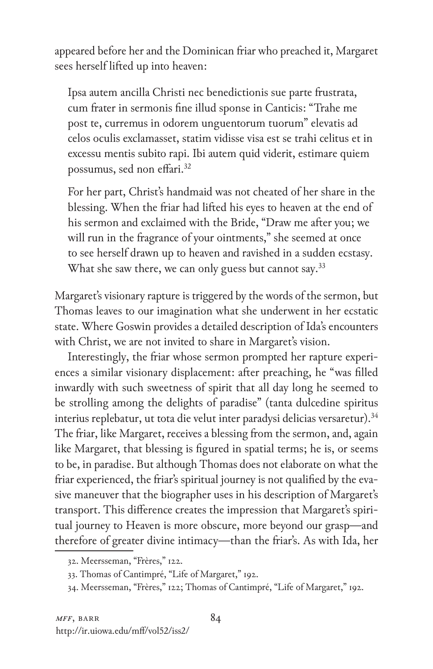appeared before her and the Dominican friar who preached it, Margaret sees herself lifted up into heaven:

Ipsa autem ancilla Christi nec benedictionis sue parte frustrata, cum frater in sermonis fine illud sponse in Canticis: "Trahe me post te, curremus in odorem unguentorum tuorum" elevatis ad celos oculis exclamasset, statim vidisse visa est se trahi celitus et in excessu mentis subito rapi. Ibi autem quid viderit, estimare quiem possumus, sed non effari.32

For her part, Christ's handmaid was not cheated of her share in the blessing. When the friar had lifted his eyes to heaven at the end of his sermon and exclaimed with the Bride, "Draw me after you; we will run in the fragrance of your ointments," she seemed at once to see herself drawn up to heaven and ravished in a sudden ecstasy. What she saw there, we can only guess but cannot say.<sup>33</sup>

Margaret's visionary rapture is triggered by the words of the sermon, but Thomas leaves to our imagination what she underwent in her ecstatic state. Where Goswin provides a detailed description of Ida's encounters with Christ, we are not invited to share in Margaret's vision.

Interestingly, the friar whose sermon prompted her rapture experiences a similar visionary displacement: after preaching, he "was filled inwardly with such sweetness of spirit that all day long he seemed to be strolling among the delights of paradise" (tanta dulcedine spiritus interius replebatur, ut tota die velut inter paradysi delicias versaretur).34 The friar, like Margaret, receives a blessing from the sermon, and, again like Margaret, that blessing is figured in spatial terms; he is, or seems to be, in paradise. But although Thomas does not elaborate on what the friar experienced, the friar's spiritual journey is not qualified by the evasive maneuver that the biographer uses in his description of Margaret's transport. This difference creates the impression that Margaret's spiritual journey to Heaven is more obscure, more beyond our grasp—and therefore of greater divine intimacy—than the friar's. As with Ida, her

<sup>32.</sup> Meersseman, "Frères," 122.

<sup>33.</sup> Thomas of Cantimpré, "Life of Margaret," 192.

<sup>34.</sup> Meersseman, "Frères," 122; Thomas of Cantimpré, "Life of Margaret," 192.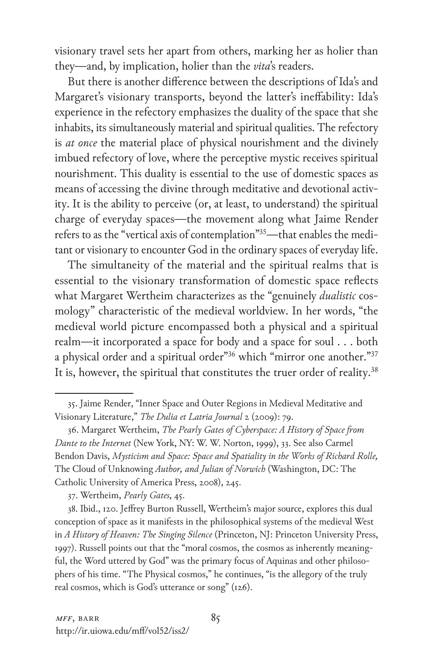visionary travel sets her apart from others, marking her as holier than they—and, by implication, holier than the *vita*'s readers.

But there is another difference between the descriptions of Ida's and Margaret's visionary transports, beyond the latter's ineffability: Ida's experience in the refectory emphasizes the duality of the space that she inhabits, its simultaneously material and spiritual qualities. The refectory is *at once* the material place of physical nourishment and the divinely imbued refectory of love, where the perceptive mystic receives spiritual nourishment. This duality is essential to the use of domestic spaces as means of accessing the divine through meditative and devotional activity. It is the ability to perceive (or, at least, to understand) the spiritual charge of everyday spaces—the movement along what Jaime Render refers to as the "vertical axis of contemplation"<sup>35</sup>—that enables the meditant or visionary to encounter God in the ordinary spaces of everyday life.

The simultaneity of the material and the spiritual realms that is essential to the visionary transformation of domestic space reflects what Margaret Wertheim characterizes as the "genuinely *dualistic* cosmology" characteristic of the medieval worldview. In her words, "the medieval world picture encompassed both a physical and a spiritual realm—it incorporated a space for body and a space for soul . . . both a physical order and a spiritual order"<sup>36</sup> which "mirror one another."<sup>37</sup> It is, however, the spiritual that constitutes the truer order of reality.<sup>38</sup>

<sup>35.</sup> Jaime Render, "Inner Space and Outer Regions in Medieval Meditative and Visionary Literature," *The Dulia et Latria Journal* 2 (2009): 79.

<sup>36.</sup> Margaret Wertheim, *The Pearly Gates of Cyberspace: A History of Space from Dante to the Internet* (New York, NY: W. W. Norton, 1999), 33. See also Carmel Bendon Davis, *Mysticism and Space: Space and Spatiality in the Works of Richard Rolle,*  The Cloud of Unknowing *Author, and Julian of Norwich* (Washington, DC: The Catholic University of America Press, 2008), 245.

<sup>37.</sup> Wertheim, *Pearly Gates*, 45.

<sup>38.</sup> Ibid., 120. Jeffrey Burton Russell, Wertheim's major source, explores this dual conception of space as it manifests in the philosophical systems of the medieval West in *A History of Heaven: The Singing Silence* (Princeton, NJ: Princeton University Press, 1997). Russell points out that the "moral cosmos, the cosmos as inherently meaningful, the Word uttered by God" was the primary focus of Aquinas and other philosophers of his time. "The Physical cosmos," he continues, "is the allegory of the truly real cosmos, which is God's utterance or song" (126).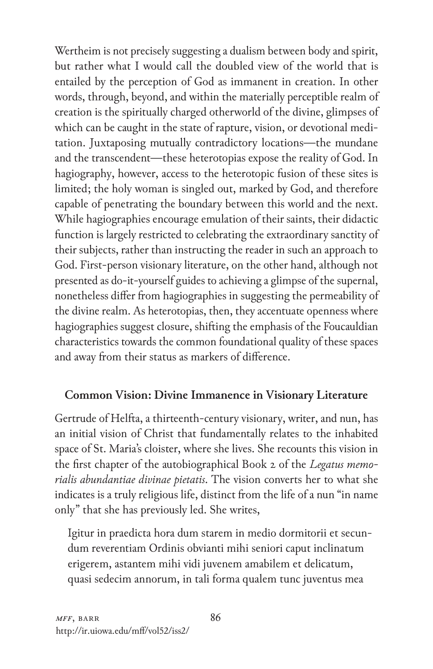Wertheim is not precisely suggesting a dualism between body and spirit, but rather what I would call the doubled view of the world that is entailed by the perception of God as immanent in creation. In other words, through, beyond, and within the materially perceptible realm of creation is the spiritually charged otherworld of the divine, glimpses of which can be caught in the state of rapture, vision, or devotional meditation. Juxtaposing mutually contradictory locations—the mundane and the transcendent—these heterotopias expose the reality of God. In hagiography, however, access to the heterotopic fusion of these sites is limited; the holy woman is singled out, marked by God, and therefore capable of penetrating the boundary between this world and the next. While hagiographies encourage emulation of their saints, their didactic function is largely restricted to celebrating the extraordinary sanctity of their subjects, rather than instructing the reader in such an approach to God. First-person visionary literature, on the other hand, although not presented as do-it-yourself guides to achieving a glimpse of the supernal, nonetheless differ from hagiographies in suggesting the permeability of the divine realm. As heterotopias, then, they accentuate openness where hagiographies suggest closure, shifting the emphasis of the Foucauldian characteristics towards the common foundational quality of these spaces and away from their status as markers of difference.

## **Common Vision: Divine Immanence in Visionary Literature**

Gertrude of Helfta, a thirteenth-century visionary, writer, and nun, has an initial vision of Christ that fundamentally relates to the inhabited space of St. Maria's cloister, where she lives. She recounts this vision in the first chapter of the autobiographical Book 2 of the *Legatus memorialis abundantiae divinae pietatis*. The vision converts her to what she indicates is a truly religious life, distinct from the life of a nun "in name only" that she has previously led. She writes,

Igitur in praedicta hora dum starem in medio dormitorii et secundum reverentiam Ordinis obvianti mihi seniori caput inclinatum erigerem, astantem mihi vidi juvenem amabilem et delicatum, quasi sedecim annorum, in tali forma qualem tunc juventus mea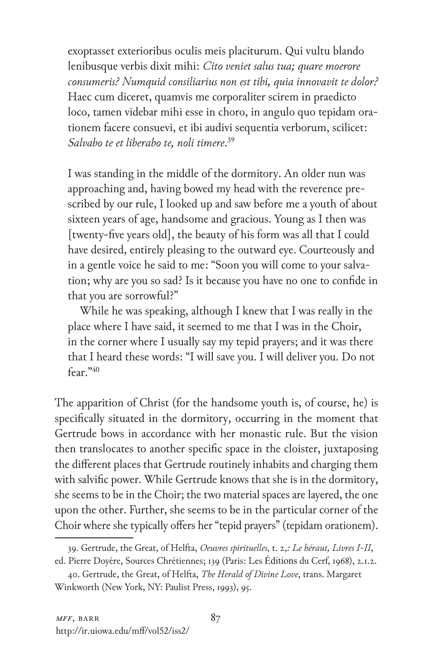exoptasset exterioribus oculis meis placiturum. Qui vultu blando lenibusque verbis dixit mihi: *Cito veniet salus tua; quare moerore consumeris? Numquid consiliarius non est tibi, quia innovavit te dolor?* Haec cum diceret, quamvis me corporaliter scirem in praedicto loco, tamen videbar mihi esse in choro, in angulo quo tepidam orationem facere consuevi, et ibi audivi sequentia verborum, scilicet: *Salvabo te et liberabo te, noli timere*. 39

I was standing in the middle of the dormitory. An older nun was approaching and, having bowed my head with the reverence prescribed by our rule, I looked up and saw before me a youth of about sixteen years of age, handsome and gracious. Young as I then was [twenty-five years old], the beauty of his form was all that I could have desired, entirely pleasing to the outward eye. Courteously and in a gentle voice he said to me: "Soon you will come to your salvation; why are you so sad? Is it because you have no one to confide in that you are sorrowful?"

 While he was speaking, although I knew that I was really in the place where I have said, it seemed to me that I was in the Choir, in the corner where I usually say my tepid prayers; and it was there that I heard these words: "I will save you. I will deliver you. Do not fear."40

The apparition of Christ (for the handsome youth is, of course, he) is specifically situated in the dormitory, occurring in the moment that Gertrude bows in accordance with her monastic rule. But the vision then translocates to another specific space in the cloister, juxtaposing the different places that Gertrude routinely inhabits and charging them with salvific power. While Gertrude knows that she is in the dormitory, she seems to be in the Choir; the two material spaces are layered, the one upon the other. Further, she seems to be in the particular corner of the Choir where she typically offers her "tepid prayers" (tepidam orationem).

<sup>39.</sup> Gertrude, the Great, of Helfta, *Oeuvres spirituelles*, t. 2,*: Le héraut, Livres I-II*, ed. Pierre Doyère, Sources Chrétiennes; 139 (Paris: Les Éditions du Cerf, 1968), 2.1.2.

<sup>40.</sup> Gertrude, the Great, of Helfta, *The Herald of Divine Love*, trans. Margaret Winkworth (New York, NY: Paulist Press, 1993), 95.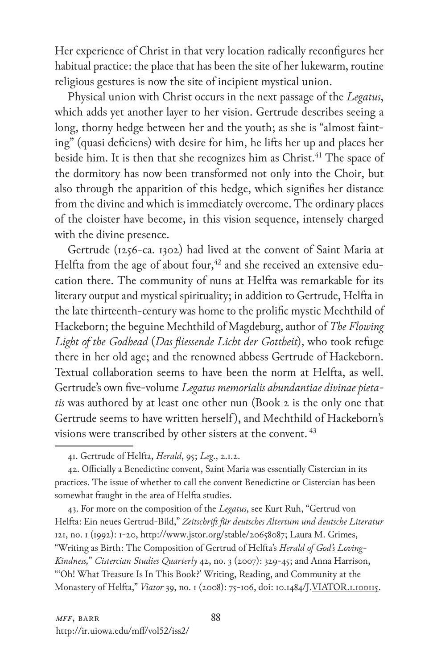Her experience of Christ in that very location radically reconfigures her habitual practice: the place that has been the site of her lukewarm, routine religious gestures is now the site of incipient mystical union.

Physical union with Christ occurs in the next passage of the *Legatus*, which adds yet another layer to her vision. Gertrude describes seeing a long, thorny hedge between her and the youth; as she is "almost fainting" (quasi deficiens) with desire for him, he lifts her up and places her beside him. It is then that she recognizes him as Christ.<sup>41</sup> The space of the dormitory has now been transformed not only into the Choir, but also through the apparition of this hedge, which signifies her distance from the divine and which is immediately overcome. The ordinary places of the cloister have become, in this vision sequence, intensely charged with the divine presence.

Gertrude (1256-ca. 1302) had lived at the convent of Saint Maria at Helfta from the age of about four,<sup>42</sup> and she received an extensive education there. The community of nuns at Helfta was remarkable for its literary output and mystical spirituality; in addition to Gertrude, Helfta in the late thirteenth-century was home to the prolific mystic Mechthild of Hackeborn; the beguine Mechthild of Magdeburg, author of *The Flowing Light of the Godhead* (*Das fliessende Licht der Gottheit*), who took refuge there in her old age; and the renowned abbess Gertrude of Hackeborn. Textual collaboration seems to have been the norm at Helfta, as well. Gertrude's own five-volume *Legatus memorialis abundantiae divinae pietatis* was authored by at least one other nun (Book 2 is the only one that Gertrude seems to have written herself ), and Mechthild of Hackeborn's visions were transcribed by other sisters at the convent. <sup>43</sup>

42. Officially a Benedictine convent, Saint Maria was essentially Cistercian in its practices. The issue of whether to call the convent Benedictine or Cistercian has been somewhat fraught in the area of Helfta studies.

43. For more on the composition of the *Legatus*, see Kurt Ruh, "Gertrud von Helfta: Ein neues Gertrud-Bild," *Zeitschrift für deutsches Altertum und deutsche Literatur*  121, no. 1 (1992): 1-20, http://www.jstor.org/stable/20658087; Laura M. Grimes, "Writing as Birth: The Composition of Gertrud of Helfta's *Herald of God's Loving-Kindness,*" *Cistercian Studies Quarterly* 42, no. 3 (2007): 329-45; and Anna Harrison, "'Oh! What Treasure Is In This Book?' Writing, Reading, and Community at the Monastery of Helfta," *Viator* 39, no. 1 (2008): 75-106, doi: 10.1484/J.VIATOR.1.100115.

<sup>41.</sup> Gertrude of Helfta, *Herald*, 95; *Leg*., 2.1.2.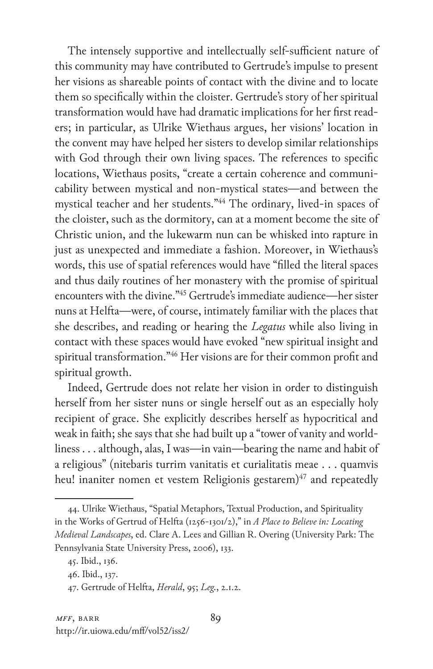The intensely supportive and intellectually self-sufficient nature of this community may have contributed to Gertrude's impulse to present her visions as shareable points of contact with the divine and to locate them so specifically within the cloister. Gertrude's story of her spiritual transformation would have had dramatic implications for her first readers; in particular, as Ulrike Wiethaus argues, her visions' location in the convent may have helped her sisters to develop similar relationships with God through their own living spaces. The references to specific locations, Wiethaus posits, "create a certain coherence and communicability between mystical and non-mystical states—and between the mystical teacher and her students."44 The ordinary, lived-in spaces of the cloister, such as the dormitory, can at a moment become the site of Christic union, and the lukewarm nun can be whisked into rapture in just as unexpected and immediate a fashion. Moreover, in Wiethaus's words, this use of spatial references would have "filled the literal spaces and thus daily routines of her monastery with the promise of spiritual encounters with the divine."45 Gertrude's immediate audience—her sister nuns at Helfta—were, of course, intimately familiar with the places that she describes, and reading or hearing the *Legatus* while also living in contact with these spaces would have evoked "new spiritual insight and spiritual transformation."46 Her visions are for their common profit and spiritual growth.

Indeed, Gertrude does not relate her vision in order to distinguish herself from her sister nuns or single herself out as an especially holy recipient of grace. She explicitly describes herself as hypocritical and weak in faith; she says that she had built up a "tower of vanity and worldliness . . . although, alas, I was—in vain—bearing the name and habit of a religious" (nitebaris turrim vanitatis et curialitatis meae . . . quamvis heu! inaniter nomen et vestem Religionis gestarem)<sup>47</sup> and repeatedly

<sup>44.</sup> Ulrike Wiethaus, "Spatial Metaphors, Textual Production, and Spirituality in the Works of Gertrud of Helfta (1256-1301/2)," in *A Place to Believe in: Locating Medieval Landscapes*, ed. Clare A. Lees and Gillian R. Overing (University Park: The Pennsylvania State University Press, 2006), 133.

<sup>45.</sup> Ibid., 136.

<sup>46.</sup> Ibid., 137.

<sup>47.</sup> Gertrude of Helfta, *Herald*, 95; *Leg.*, 2.1.2.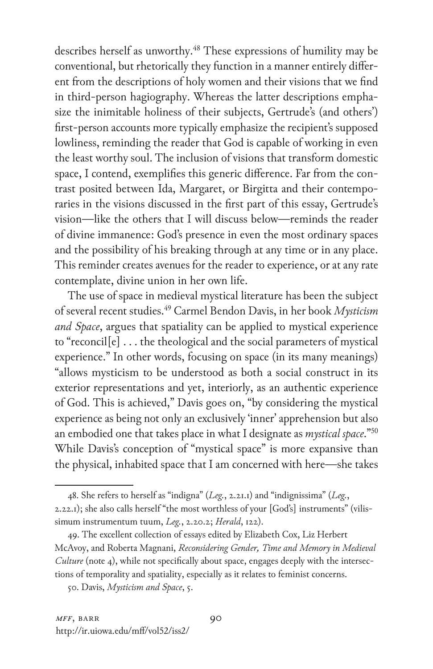describes herself as unworthy.<sup>48</sup> These expressions of humility may be conventional, but rhetorically they function in a manner entirely different from the descriptions of holy women and their visions that we find in third-person hagiography. Whereas the latter descriptions emphasize the inimitable holiness of their subjects, Gertrude's (and others') first-person accounts more typically emphasize the recipient's supposed lowliness, reminding the reader that God is capable of working in even the least worthy soul. The inclusion of visions that transform domestic space, I contend, exemplifies this generic difference. Far from the contrast posited between Ida, Margaret, or Birgitta and their contemporaries in the visions discussed in the first part of this essay, Gertrude's vision—like the others that I will discuss below—reminds the reader of divine immanence: God's presence in even the most ordinary spaces and the possibility of his breaking through at any time or in any place. This reminder creates avenues for the reader to experience, or at any rate contemplate, divine union in her own life.

The use of space in medieval mystical literature has been the subject of several recent studies.49 Carmel Bendon Davis, in her book *Mysticism and Space*, argues that spatiality can be applied to mystical experience to "reconcil[e] . . . the theological and the social parameters of mystical experience." In other words, focusing on space (in its many meanings) "allows mysticism to be understood as both a social construct in its exterior representations and yet, interiorly, as an authentic experience of God. This is achieved," Davis goes on, "by considering the mystical experience as being not only an exclusively 'inner' apprehension but also an embodied one that takes place in what I designate as *mystical space*."50 While Davis's conception of "mystical space" is more expansive than the physical, inhabited space that I am concerned with here—she takes

<sup>48.</sup> She refers to herself as "indigna" (*Leg.*, 2.21.1) and "indignissima" (*Leg.*, 2.22.1); she also calls herself "the most worthless of your [God's] instruments" (vilissimum instrumentum tuum, *Leg.*, 2.20.2; *Herald*, 122).

<sup>49.</sup> The excellent collection of essays edited by Elizabeth Cox, Liz Herbert McAvoy, and Roberta Magnani, *Reconsidering Gender, Time and Memory in Medieval Culture* (note 4), while not specifically about space, engages deeply with the intersections of temporality and spatiality, especially as it relates to feminist concerns.

<sup>50.</sup> Davis, *Mysticism and Space*, 5.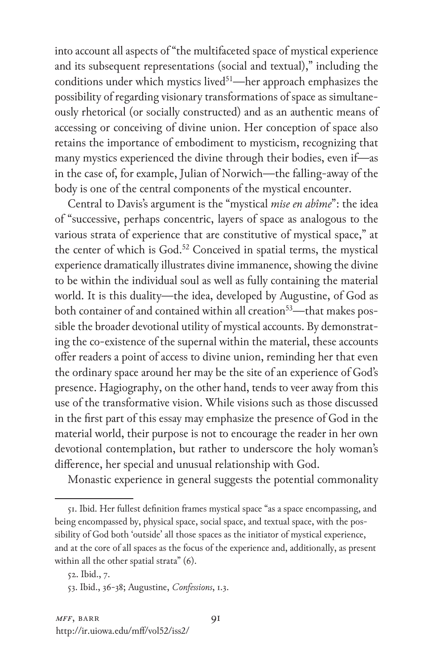into account all aspects of "the multifaceted space of mystical experience and its subsequent representations (social and textual)," including the conditions under which mystics lived $51$ —her approach emphasizes the possibility of regarding visionary transformations of space as simultaneously rhetorical (or socially constructed) and as an authentic means of accessing or conceiving of divine union. Her conception of space also retains the importance of embodiment to mysticism, recognizing that many mystics experienced the divine through their bodies, even if—as in the case of, for example, Julian of Norwich—the falling-away of the body is one of the central components of the mystical encounter.

Central to Davis's argument is the "mystical *mise en abîme*": the idea of "successive, perhaps concentric, layers of space as analogous to the various strata of experience that are constitutive of mystical space," at the center of which is God.<sup>52</sup> Conceived in spatial terms, the mystical experience dramatically illustrates divine immanence, showing the divine to be within the individual soul as well as fully containing the material world. It is this duality—the idea, developed by Augustine, of God as both container of and contained within all creation<sup>53</sup>—that makes possible the broader devotional utility of mystical accounts. By demonstrating the co-existence of the supernal within the material, these accounts offer readers a point of access to divine union, reminding her that even the ordinary space around her may be the site of an experience of God's presence. Hagiography, on the other hand, tends to veer away from this use of the transformative vision. While visions such as those discussed in the first part of this essay may emphasize the presence of God in the material world, their purpose is not to encourage the reader in her own devotional contemplation, but rather to underscore the holy woman's difference, her special and unusual relationship with God.

Monastic experience in general suggests the potential commonality

<sup>51.</sup> Ibid. Her fullest definition frames mystical space "as a space encompassing, and being encompassed by, physical space, social space, and textual space, with the possibility of God both 'outside' all those spaces as the initiator of mystical experience, and at the core of all spaces as the focus of the experience and, additionally, as present within all the other spatial strata" (6).

<sup>52.</sup> Ibid., 7.

<sup>53.</sup> Ibid., 36-38; Augustine, *Confessions*, 1.3.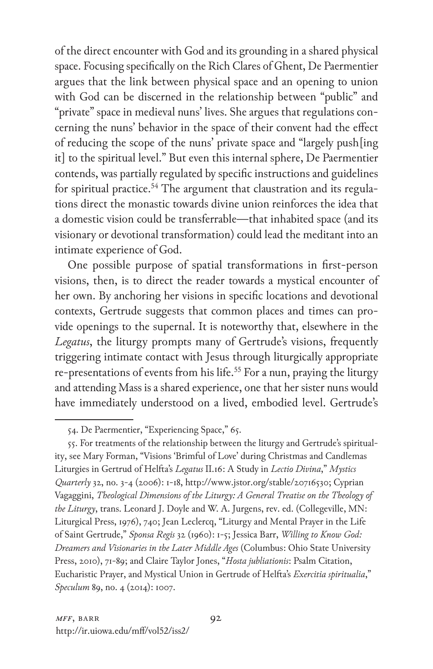of the direct encounter with God and its grounding in a shared physical space. Focusing specifically on the Rich Clares of Ghent, De Paermentier argues that the link between physical space and an opening to union with God can be discerned in the relationship between "public" and "private" space in medieval nuns' lives. She argues that regulations concerning the nuns' behavior in the space of their convent had the effect of reducing the scope of the nuns' private space and "largely push[ing it] to the spiritual level." But even this internal sphere, De Paermentier contends, was partially regulated by specific instructions and guidelines for spiritual practice.<sup>54</sup> The argument that claustration and its regulations direct the monastic towards divine union reinforces the idea that a domestic vision could be transferrable—that inhabited space (and its visionary or devotional transformation) could lead the meditant into an intimate experience of God.

One possible purpose of spatial transformations in first-person visions, then, is to direct the reader towards a mystical encounter of her own. By anchoring her visions in specific locations and devotional contexts, Gertrude suggests that common places and times can provide openings to the supernal. It is noteworthy that, elsewhere in the *Legatus*, the liturgy prompts many of Gertrude's visions, frequently triggering intimate contact with Jesus through liturgically appropriate re-presentations of events from his life.<sup>55</sup> For a nun, praying the liturgy and attending Mass is a shared experience, one that her sister nuns would have immediately understood on a lived, embodied level. Gertrude's

<sup>54.</sup> De Paermentier, "Experiencing Space," 65.

<sup>55.</sup> For treatments of the relationship between the liturgy and Gertrude's spirituality, see Mary Forman, "Visions 'Brimful of Love' during Christmas and Candlemas Liturgies in Gertrud of Helfta's *Legatus* II.16: A Study in *Lectio Divina*," *Mystics Quarterly* 32, no. 3-4 (2006): 1-18, http://www.jstor.org/stable/20716530; Cyprian Vagaggini, *Theological Dimensions of the Liturgy: A General Treatise on the Theology of the Liturgy*, trans. Leonard J. Doyle and W. A. Jurgens, rev. ed. (Collegeville, MN: Liturgical Press, 1976), 740; Jean Leclercq, "Liturgy and Mental Prayer in the Life of Saint Gertrude," *Sponsa Regis* 32 (1960): 1-5; Jessica Barr, *Willing to Know God: Dreamers and Visionaries in the Later Middle Ages* (Columbus: Ohio State University Press, 2010), 71-89; and Claire Taylor Jones, "*Hosta jubliationis*: Psalm Citation, Eucharistic Prayer, and Mystical Union in Gertrude of Helfta's *Exercitia spiritualia*," *Speculum* 89, no. 4 (2014): 1007.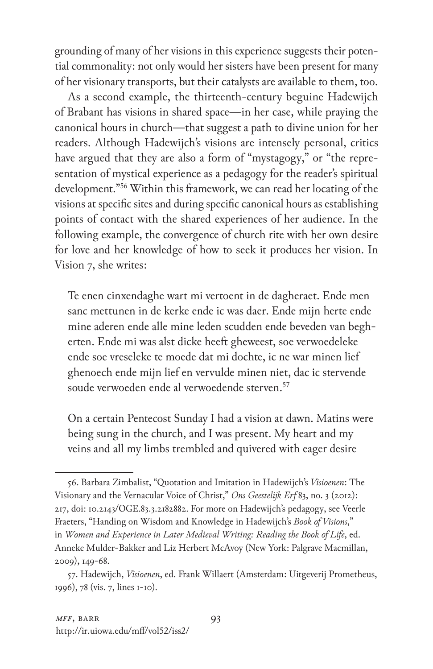grounding of many of her visions in this experience suggests their potential commonality: not only would her sisters have been present for many of her visionary transports, but their catalysts are available to them, too.

As a second example, the thirteenth-century beguine Hadewijch of Brabant has visions in shared space—in her case, while praying the canonical hours in church—that suggest a path to divine union for her readers. Although Hadewijch's visions are intensely personal, critics have argued that they are also a form of "mystagogy," or "the representation of mystical experience as a pedagogy for the reader's spiritual development."56 Within this framework, we can read her locating of the visions at specific sites and during specific canonical hours as establishing points of contact with the shared experiences of her audience. In the following example, the convergence of church rite with her own desire for love and her knowledge of how to seek it produces her vision. In Vision 7, she writes:

Te enen cinxendaghe wart mi vertoent in de dagheraet. Ende men sanc mettunen in de kerke ende ic was daer. Ende mijn herte ende mine aderen ende alle mine leden scudden ende beveden van begherten. Ende mi was alst dicke heeft gheweest, soe verwoedeleke ende soe vreseleke te moede dat mi dochte, ic ne war minen lief ghenoech ende mijn lief en vervulde minen niet, dac ic stervende soude verwoeden ende al verwoedende sterven.<sup>57</sup>

On a certain Pentecost Sunday I had a vision at dawn. Matins were being sung in the church, and I was present. My heart and my veins and all my limbs trembled and quivered with eager desire

<sup>56.</sup> Barbara Zimbalist, "Quotation and Imitation in Hadewijch's *Visioenen*: The Visionary and the Vernacular Voice of Christ," *Ons Geestelijk Erf* 83, no. 3 (2012): 217, doi: 10.2143/OGE.83.3.2182882. For more on Hadewijch's pedagogy, see Veerle Fraeters, "Handing on Wisdom and Knowledge in Hadewijch's *Book of Visions*," in *Women and Experience in Later Medieval Writing: Reading the Book of Life*, ed. Anneke Mulder-Bakker and Liz Herbert McAvoy (New York: Palgrave Macmillan, 2009), 149-68.

<sup>57.</sup> Hadewijch, *Visioenen*, ed. Frank Willaert (Amsterdam: Uitgeverij Prometheus, 1996), 78 (vis. 7, lines 1-10).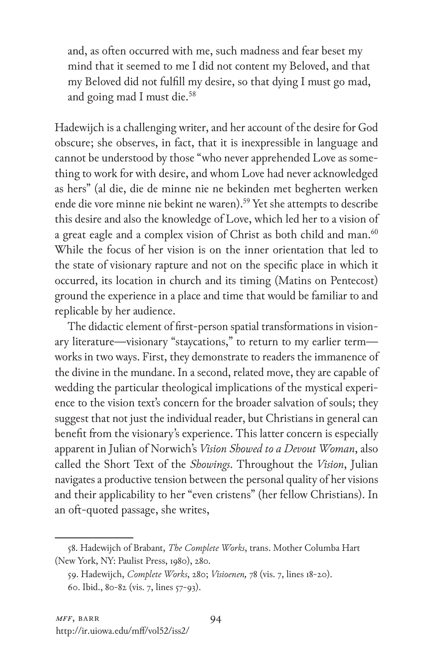and, as often occurred with me, such madness and fear beset my mind that it seemed to me I did not content my Beloved, and that my Beloved did not fulfill my desire, so that dying I must go mad, and going mad I must die.58

Hadewijch is a challenging writer, and her account of the desire for God obscure; she observes, in fact, that it is inexpressible in language and cannot be understood by those "who never apprehended Love as something to work for with desire, and whom Love had never acknowledged as hers" (al die, die de minne nie ne bekinden met begherten werken ende die vore minne nie bekint ne waren).<sup>59</sup> Yet she attempts to describe this desire and also the knowledge of Love, which led her to a vision of a great eagle and a complex vision of Christ as both child and man.<sup>60</sup> While the focus of her vision is on the inner orientation that led to the state of visionary rapture and not on the specific place in which it occurred, its location in church and its timing (Matins on Pentecost) ground the experience in a place and time that would be familiar to and replicable by her audience.

The didactic element of first-person spatial transformations in visionary literature—visionary "staycations," to return to my earlier term works in two ways. First, they demonstrate to readers the immanence of the divine in the mundane. In a second, related move, they are capable of wedding the particular theological implications of the mystical experience to the vision text's concern for the broader salvation of souls; they suggest that not just the individual reader, but Christians in general can benefit from the visionary's experience. This latter concern is especially apparent in Julian of Norwich's *Vision Showed to a Devout Woman*, also called the Short Text of the *Showings*. Throughout the *Vision*, Julian navigates a productive tension between the personal quality of her visions and their applicability to her "even cristens" (her fellow Christians). In an oft-quoted passage, she writes,

<sup>58.</sup> Hadewijch of Brabant, *The Complete Works*, trans. Mother Columba Hart (New York, NY: Paulist Press, 1980), 280.

<sup>59.</sup> Hadewijch, *Complete Works*, 280; *Visioenen,* 78 (vis. 7, lines 18-20).

<sup>60.</sup> Ibid., 80-82 (vis. 7, lines 57-93).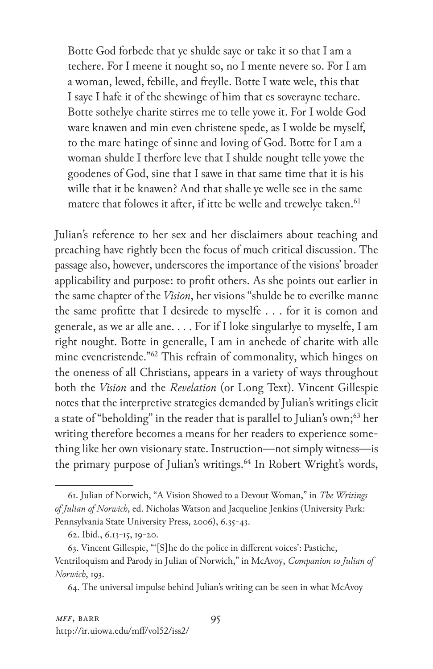Botte God forbede that ye shulde saye or take it so that I am a techere. For I meene it nought so, no I mente nevere so. For I am a woman, lewed, febille, and freylle. Botte I wate wele, this that I saye I hafe it of the shewinge of him that es soverayne techare. Botte sothelye charite stirres me to telle yowe it. For I wolde God ware knawen and min even christene spede, as I wolde be myself, to the mare hatinge of sinne and loving of God. Botte for I am a woman shulde I therfore leve that I shulde nought telle yowe the goodenes of God, sine that I sawe in that same time that it is his wille that it be knawen? And that shalle ye welle see in the same matere that folowes it after, if itte be welle and trewelye taken.<sup>61</sup>

Julian's reference to her sex and her disclaimers about teaching and preaching have rightly been the focus of much critical discussion. The passage also, however, underscores the importance of the visions' broader applicability and purpose: to profit others. As she points out earlier in the same chapter of the *Vision*, her visions "shulde be to everilke manne the same profitte that I desirede to myselfe . . . for it is comon and generale, as we ar alle ane. . . . For if I loke singularlye to myselfe, I am right nought. Botte in generalle, I am in anehede of charite with alle mine evencristende."62 This refrain of commonality, which hinges on the oneness of all Christians, appears in a variety of ways throughout both the *Vision* and the *Revelation* (or Long Text). Vincent Gillespie notes that the interpretive strategies demanded by Julian's writings elicit a state of "beholding" in the reader that is parallel to Julian's own;<sup>63</sup> her writing therefore becomes a means for her readers to experience something like her own visionary state. Instruction—not simply witness—is the primary purpose of Julian's writings.<sup>64</sup> In Robert Wright's words,

<sup>61.</sup> Julian of Norwich, "A Vision Showed to a Devout Woman," in *The Writings of Julian of Norwich*, ed. Nicholas Watson and Jacqueline Jenkins (University Park: Pennsylvania State University Press, 2006), 6.35-43.

<sup>62.</sup> Ibid., 6.13-15, 19-20.

<sup>63.</sup> Vincent Gillespie, "'[S]he do the police in different voices': Pastiche, Ventriloquism and Parody in Julian of Norwich," in McAvoy, *Companion to Julian of Norwich*, 193.

<sup>64.</sup> The universal impulse behind Julian's writing can be seen in what McAvoy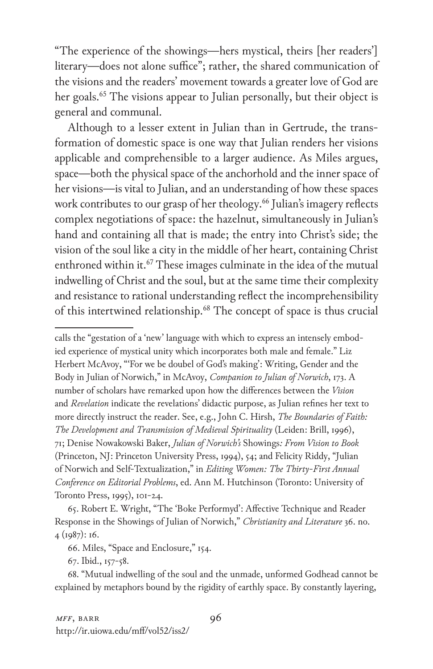"The experience of the showings—hers mystical, theirs [her readers'] literary—does not alone suffice"; rather, the shared communication of the visions and the readers' movement towards a greater love of God are her goals.<sup>65</sup> The visions appear to Julian personally, but their object is general and communal.

Although to a lesser extent in Julian than in Gertrude, the transformation of domestic space is one way that Julian renders her visions applicable and comprehensible to a larger audience. As Miles argues, space—both the physical space of the anchorhold and the inner space of her visions—is vital to Julian, and an understanding of how these spaces work contributes to our grasp of her theology.<sup>66</sup> Julian's imagery reflects complex negotiations of space: the hazelnut, simultaneously in Julian's hand and containing all that is made; the entry into Christ's side; the vision of the soul like a city in the middle of her heart, containing Christ enthroned within it.<sup>67</sup> These images culminate in the idea of the mutual indwelling of Christ and the soul, but at the same time their complexity and resistance to rational understanding reflect the incomprehensibility of this intertwined relationship.<sup>68</sup> The concept of space is thus crucial

calls the "gestation of a 'new' language with which to express an intensely embodied experience of mystical unity which incorporates both male and female." Liz Herbert McAvoy, "'For we be doubel of God's making': Writing, Gender and the Body in Julian of Norwich," in McAvoy, *Companion to Julian of Norwich*, 173. A number of scholars have remarked upon how the differences between the *Vision* and *Revelation* indicate the revelations' didactic purpose, as Julian refines her text to more directly instruct the reader. See, e.g., John C. Hirsh, *The Boundaries of Faith: The Development and Transmission of Medieval Spirituality* (Leiden: Brill, 1996), 71; Denise Nowakowski Baker, *Julian of Norwich's* Showings*: From Vision to Book* (Princeton, NJ: Princeton University Press, 1994), 54; and Felicity Riddy, "Julian of Norwich and Self-Textualization," in *Editing Women: The Thirty-First Annual Conference on Editorial Problems*, ed. Ann M. Hutchinson (Toronto: University of Toronto Press, 1995), 101-24.

65. Robert E. Wright, "The 'Boke Performyd': Affective Technique and Reader Response in the Showings of Julian of Norwich," *Christianity and Literature* 36. no. 4 (1987): 16.

67. Ibid., 157-58.

68. "Mutual indwelling of the soul and the unmade, unformed Godhead cannot be explained by metaphors bound by the rigidity of earthly space. By constantly layering,

<sup>66.</sup> Miles, "Space and Enclosure," 154.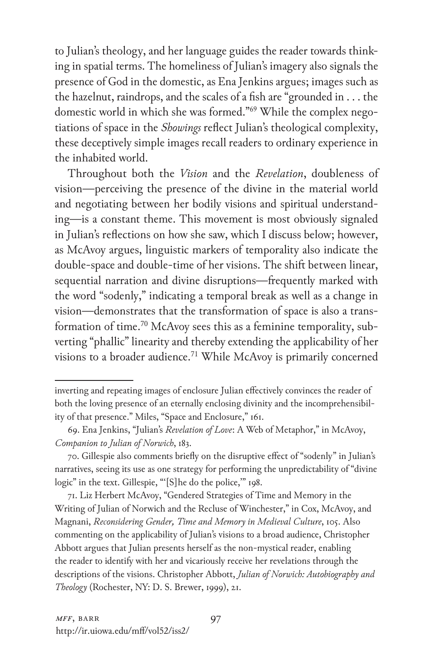to Julian's theology, and her language guides the reader towards thinking in spatial terms. The homeliness of Julian's imagery also signals the presence of God in the domestic, as Ena Jenkins argues; images such as the hazelnut, raindrops, and the scales of a fish are "grounded in . . . the domestic world in which she was formed."69 While the complex negotiations of space in the *Showings* reflect Julian's theological complexity, these deceptively simple images recall readers to ordinary experience in the inhabited world.

Throughout both the *Vision* and the *Revelation*, doubleness of vision—perceiving the presence of the divine in the material world and negotiating between her bodily visions and spiritual understanding—is a constant theme. This movement is most obviously signaled in Julian's reflections on how she saw, which I discuss below; however, as McAvoy argues, linguistic markers of temporality also indicate the double-space and double-time of her visions. The shift between linear, sequential narration and divine disruptions—frequently marked with the word "sodenly," indicating a temporal break as well as a change in vision—demonstrates that the transformation of space is also a transformation of time.<sup>70</sup> McAvoy sees this as a feminine temporality, subverting "phallic" linearity and thereby extending the applicability of her visions to a broader audience.<sup>71</sup> While McAvoy is primarily concerned

inverting and repeating images of enclosure Julian effectively convinces the reader of both the loving presence of an eternally enclosing divinity and the incomprehensibility of that presence." Miles, "Space and Enclosure," 161.

<sup>69.</sup> Ena Jenkins, "Julian's *Revelation of Love*: A Web of Metaphor," in McAvoy, *Companion to Julian of Norwich*, 183.

<sup>70.</sup> Gillespie also comments briefly on the disruptive effect of "sodenly" in Julian's narratives, seeing its use as one strategy for performing the unpredictability of "divine logic" in the text. Gillespie, "'[S]he do the police,'" 198.

<sup>71.</sup> Liz Herbert McAvoy, "Gendered Strategies of Time and Memory in the Writing of Julian of Norwich and the Recluse of Winchester," in Cox, McAvoy, and Magnani, *Reconsidering Gender, Time and Memory in Medieval Culture*, 105. Also commenting on the applicability of Julian's visions to a broad audience, Christopher Abbott argues that Julian presents herself as the non-mystical reader, enabling the reader to identify with her and vicariously receive her revelations through the descriptions of the visions. Christopher Abbott, *Julian of Norwich: Autobiography and Theology* (Rochester, NY: D. S. Brewer, 1999), 21.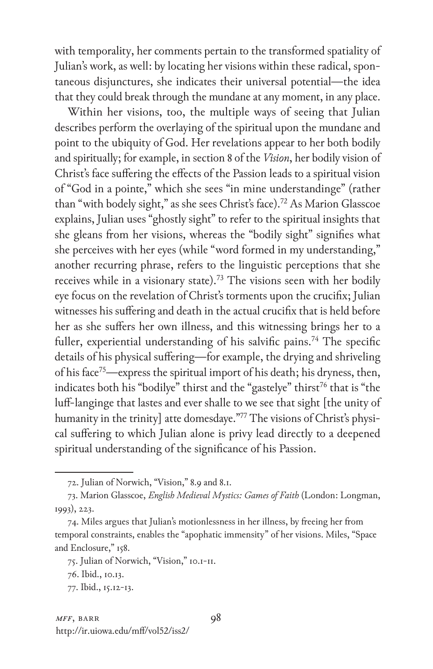with temporality, her comments pertain to the transformed spatiality of Julian's work, as well: by locating her visions within these radical, spontaneous disjunctures, she indicates their universal potential—the idea that they could break through the mundane at any moment, in any place.

Within her visions, too, the multiple ways of seeing that Julian describes perform the overlaying of the spiritual upon the mundane and point to the ubiquity of God. Her revelations appear to her both bodily and spiritually; for example, in section 8 of the *Vision*, her bodily vision of Christ's face suffering the effects of the Passion leads to a spiritual vision of "God in a pointe," which she sees "in mine understandinge" (rather than "with bodely sight," as she sees Christ's face).72 As Marion Glasscoe explains, Julian uses "ghostly sight" to refer to the spiritual insights that she gleans from her visions, whereas the "bodily sight" signifies what she perceives with her eyes (while "word formed in my understanding," another recurring phrase, refers to the linguistic perceptions that she receives while in a visionary state).<sup>73</sup> The visions seen with her bodily eye focus on the revelation of Christ's torments upon the crucifix; Julian witnesses his suffering and death in the actual crucifix that is held before her as she suffers her own illness, and this witnessing brings her to a fuller, experiential understanding of his salvific pains.<sup>74</sup> The specific details of his physical suffering—for example, the drying and shriveling of his face<sup>75</sup>—express the spiritual import of his death; his dryness, then, indicates both his "bodilye" thirst and the "gastelye" thirst<sup>76</sup> that is "the luff-langinge that lastes and ever shalle to we see that sight [the unity of humanity in the trinity] atte domesdaye."77 The visions of Christ's physical suffering to which Julian alone is privy lead directly to a deepened spiritual understanding of the significance of his Passion.

<sup>72.</sup> Julian of Norwich, "Vision," 8.9 and 8.1.

<sup>73.</sup> Marion Glasscoe, *English Medieval Mystics: Games of Faith* (London: Longman, 1993), 223.

<sup>74.</sup> Miles argues that Julian's motionlessness in her illness, by freeing her from temporal constraints, enables the "apophatic immensity" of her visions. Miles, "Space and Enclosure," 158.

<sup>75.</sup> Julian of Norwich, "Vision," 10.1-11.

<sup>76.</sup> Ibid., 10.13.

<sup>77.</sup> Ibid., 15.12-13.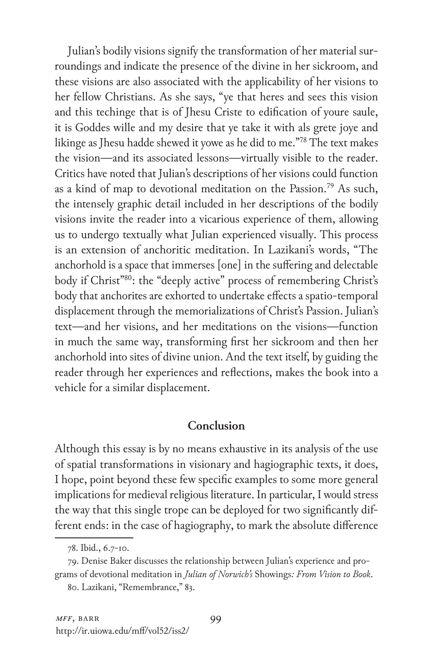Julian's bodily visions signify the transformation of her material surroundings and indicate the presence of the divine in her sickroom, and these visions are also associated with the applicability of her visions to her fellow Christians. As she says, "ye that heres and sees this vision and this techinge that is of Jhesu Criste to edification of youre saule, it is Goddes wille and my desire that ye take it with als grete joye and likinge as Jhesu hadde shewed it yowe as he did to me."78 The text makes the vision—and its associated lessons—virtually visible to the reader. Critics have noted that Julian's descriptions of her visions could function as a kind of map to devotional meditation on the Passion.79 As such, the intensely graphic detail included in her descriptions of the bodily visions invite the reader into a vicarious experience of them, allowing us to undergo textually what Julian experienced visually. This process is an extension of anchoritic meditation. In Lazikani's words, "The anchorhold is a space that immerses [one] in the suffering and delectable body if Christ<sup>780</sup>: the "deeply active" process of remembering Christ's body that anchorites are exhorted to undertake effects a spatio-temporal displacement through the memorializations of Christ's Passion. Julian's text—and her visions, and her meditations on the visions—function in much the same way, transforming first her sickroom and then her anchorhold into sites of divine union. And the text itself, by guiding the reader through her experiences and reflections, makes the book into a vehicle for a similar displacement.

## **Conclusion**

Although this essay is by no means exhaustive in its analysis of the use of spatial transformations in visionary and hagiographic texts, it does, I hope, point beyond these few specific examples to some more general implications for medieval religious literature. In particular, I would stress the way that this single trope can be deployed for two significantly different ends: in the case of hagiography, to mark the absolute difference

<sup>78.</sup> Ibid., 6.7-10.

<sup>79.</sup> Denise Baker discusses the relationship between Julian's experience and programs of devotional meditation in *Julian of Norwich's* Showings*: From Vision to Book*.

<sup>80.</sup> Lazikani, "Remembrance," 83.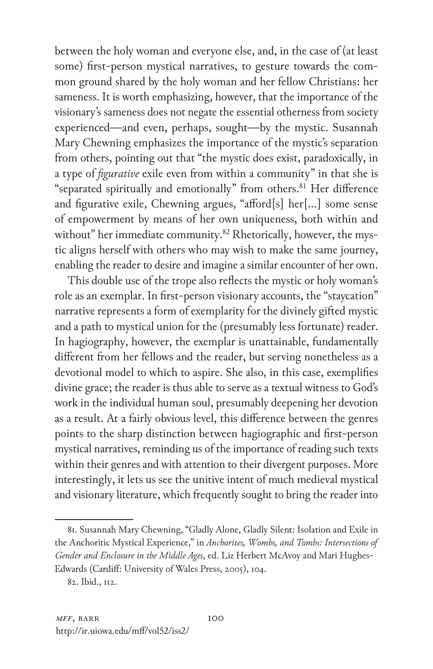between the holy woman and everyone else, and, in the case of (at least some) first-person mystical narratives, to gesture towards the common ground shared by the holy woman and her fellow Christians: her sameness. It is worth emphasizing, however, that the importance of the visionary's sameness does not negate the essential otherness from society experienced—and even, perhaps, sought—by the mystic. Susannah Mary Chewning emphasizes the importance of the mystic's separation from others, pointing out that "the mystic does exist, paradoxically, in a type of *figurative* exile even from within a community" in that she is "separated spiritually and emotionally" from others.<sup>81</sup> Her difference and figurative exile, Chewning argues, "afford[s] her[…] some sense of empowerment by means of her own uniqueness, both within and without" her immediate community.<sup>82</sup> Rhetorically, however, the mystic aligns herself with others who may wish to make the same journey, enabling the reader to desire and imagine a similar encounter of her own.

This double use of the trope also reflects the mystic or holy woman's role as an exemplar. In first-person visionary accounts, the "staycation" narrative represents a form of exemplarity for the divinely gifted mystic and a path to mystical union for the (presumably less fortunate) reader. In hagiography, however, the exemplar is unattainable, fundamentally different from her fellows and the reader, but serving nonetheless as a devotional model to which to aspire. She also, in this case, exemplifies divine grace; the reader is thus able to serve as a textual witness to God's work in the individual human soul, presumably deepening her devotion as a result. At a fairly obvious level, this difference between the genres points to the sharp distinction between hagiographic and first-person mystical narratives, reminding us of the importance of reading such texts within their genres and with attention to their divergent purposes. More interestingly, it lets us see the unitive intent of much medieval mystical and visionary literature, which frequently sought to bring the reader into

<sup>81.</sup> Susannah Mary Chewning, "Gladly Alone, Gladly Silent: Isolation and Exile in the Anchoritic Mystical Experience," in *Anchorites, Wombs, and Tombs: Intersections of Gender and Enclosure in the Middle Ages*, ed. Liz Herbert McAvoy and Mari Hughes-Edwards (Cardiff: University of Wales Press, 2005), 104.

<sup>82.</sup> Ibid., 112.